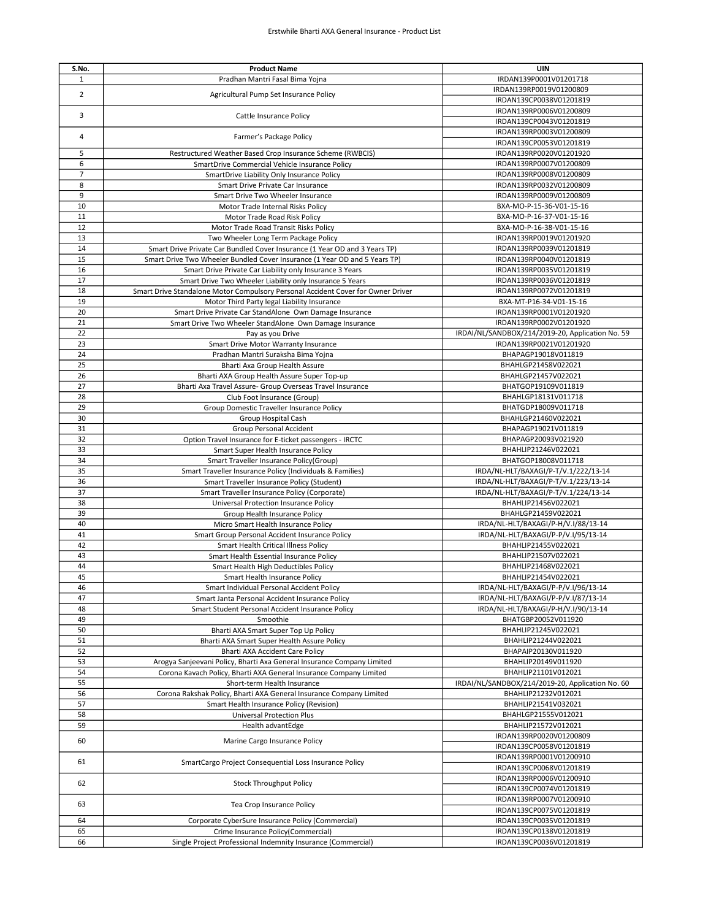| S.No.          | <b>Product Name</b>                                                              | UIN                                              |
|----------------|----------------------------------------------------------------------------------|--------------------------------------------------|
| $\mathbf{1}$   | Pradhan Mantri Fasal Bima Yojna                                                  | IRDAN139P0001V01201718                           |
|                |                                                                                  | IRDAN139RP0019V01200809                          |
| $\overline{2}$ | Agricultural Pump Set Insurance Policy                                           | IRDAN139CP0038V01201819                          |
|                |                                                                                  | IRDAN139RP0006V01200809                          |
| 3              | Cattle Insurance Policy                                                          | IRDAN139CP0043V01201819                          |
|                |                                                                                  | IRDAN139RP0003V01200809                          |
| 4              | Farmer's Package Policy                                                          |                                                  |
|                |                                                                                  | IRDAN139CP0053V01201819                          |
| 5              | Restructured Weather Based Crop Insurance Scheme (RWBCIS)                        | IRDAN139RP0020V01201920                          |
| 6              | SmartDrive Commercial Vehicle Insurance Policy                                   | IRDAN139RP0007V01200809                          |
| $\overline{7}$ | SmartDrive Liability Only Insurance Policy                                       | IRDAN139RP0008V01200809                          |
| 8              | Smart Drive Private Car Insurance                                                | IRDAN139RP0032V01200809                          |
| 9              | Smart Drive Two Wheeler Insurance                                                | IRDAN139RP0009V01200809                          |
| 10             | Motor Trade Internal Risks Policy                                                | BXA-MO-P-15-36-V01-15-16                         |
| 11             | Motor Trade Road Risk Policy                                                     | BXA-MO-P-16-37-V01-15-16                         |
| 12             | Motor Trade Road Transit Risks Policy                                            | BXA-MO-P-16-38-V01-15-16                         |
| 13             | Two Wheeler Long Term Package Policy                                             | IRDAN139RP0019V01201920                          |
| 14             | Smart Drive Private Car Bundled Cover Insurance (1 Year OD and 3 Years TP)       | IRDAN139RP0039V01201819                          |
| 15             | Smart Drive Two Wheeler Bundled Cover Insurance (1 Year OD and 5 Years TP)       | IRDAN139RP0040V01201819                          |
| 16             | Smart Drive Private Car Liability only Insurance 3 Years                         | IRDAN139RP0035V01201819                          |
| 17             | Smart Drive Two Wheeler Liability only Insurance 5 Years                         | IRDAN139RP0036V01201819                          |
| 18             | Smart Drive Standalone Motor Compulsory Personal Accident Cover for Owner Driver | IRDAN139RP0072V01201819                          |
| 19             |                                                                                  |                                                  |
|                | Motor Third Party legal Liability Insurance                                      | BXA-MT-P16-34-V01-15-16                          |
| 20             | Smart Drive Private Car StandAlone Own Damage Insurance                          | IRDAN139RP0001V01201920                          |
| 21             | Smart Drive Two Wheeler StandAlone Own Damage Insurance                          | IRDAN139RP0002V01201920                          |
| 22             | Pay as you Drive                                                                 | IRDAI/NL/SANDBOX/214/2019-20, Application No. 59 |
| 23             | Smart Drive Motor Warranty Insurance                                             | IRDAN139RP0021V01201920                          |
| 24             | Pradhan Mantri Suraksha Bima Yojna                                               | BHAPAGP19018V011819                              |
| 25             | Bharti Axa Group Health Assure                                                   | BHAHLGP21458V022021                              |
| 26             | Bharti AXA Group Health Assure Super Top-up                                      | BHAHLGP21457V022021                              |
| 27             | Bharti Axa Travel Assure- Group Overseas Travel Insurance                        | BHATGOP19109V011819                              |
| 28             | Club Foot Insurance (Group)                                                      | BHAHLGP18131V011718                              |
| 29             | Group Domestic Traveller Insurance Policy                                        | BHATGDP18009V011718                              |
| 30             | Group Hospital Cash                                                              | BHAHLGP21460V022021                              |
| 31             | Group Personal Accident                                                          | BHAPAGP19021V011819                              |
| 32             | Option Travel Insurance for E-ticket passengers - IRCTC                          | BHAPAGP20093V021920                              |
| 33             | Smart Super Health Insurance Policy                                              | BHAHLIP21246V022021                              |
| 34             | Smart Traveller Insurance Policy(Group)                                          | BHATGOP18008V011718                              |
| 35             | Smart Traveller Insurance Policy (Individuals & Families)                        | IRDA/NL-HLT/BAXAGI/P-T/V.1/222/13-14             |
| 36             | Smart Traveller Insurance Policy (Student)                                       | IRDA/NL-HLT/BAXAGI/P-T/V.1/223/13-14             |
| 37             | Smart Traveller Insurance Policy (Corporate)                                     | IRDA/NL-HLT/BAXAGI/P-T/V.1/224/13-14             |
| 38             | Universal Protection Insurance Policy                                            | BHAHLIP21456V022021                              |
| 39             |                                                                                  | BHAHLGP21459V022021                              |
|                | Group Health Insurance Policy                                                    |                                                  |
| 40             | Micro Smart Health Insurance Policy                                              | IRDA/NL-HLT/BAXAGI/P-H/V.I/88/13-14              |
| 41             | Smart Group Personal Accident Insurance Policy                                   | IRDA/NL-HLT/BAXAGI/P-P/V.I/95/13-14              |
| 42             | Smart Health Critical Illness Policy                                             | BHAHLIP21455V022021                              |
| 43             | Smart Health Essential Insurance Policy                                          | BHAHLIP21507V022021                              |
| 44             | Smart Health High Deductibles Policy                                             | BHAHLIP21468V022021                              |
| 45             | Smart Health Insurance Policy                                                    | BHAHLIP21454V022021                              |
| 46             | Smart Individual Personal Accident Policy                                        | IRDA/NL-HLT/BAXAGI/P-P/V.I/96/13-14              |
| 47             | Smart Janta Personal Accident Insurance Policy                                   | IRDA/NL-HLT/BAXAGI/P-P/V.I/87/13-14              |
| 48             | Smart Student Personal Accident Insurance Policy                                 | IRDA/NL-HLT/BAXAGI/P-H/V.I/90/13-14              |
| 49             | Smoothie                                                                         | BHATGBP20052V011920                              |
| 50             | Bharti AXA Smart Super Top Up Policy                                             | BHAHLIP21245V022021                              |
| 51             | Bharti AXA Smart Super Health Assure Policy                                      | BHAHLIP21244V022021                              |
| 52             | Bharti AXA Accident Care Policy                                                  | BHAPAIP20130V011920                              |
| 53             | Arogya Sanjeevani Policy, Bharti Axa General Insurance Company Limited           | BHAHLIP20149V011920                              |
| 54             | Corona Kavach Policy, Bharti AXA General Insurance Company Limited               | BHAHLIP21101V012021                              |
| 55             | Short-term Health Insurance                                                      | IRDAI/NL/SANDBOX/214/2019-20, Application No. 60 |
|                |                                                                                  |                                                  |
| 56             | Corona Rakshak Policy, Bharti AXA General Insurance Company Limited              | BHAHLIP21232V012021                              |
| 57             | Smart Health Insurance Policy (Revision)                                         | BHAHLIP21541V032021                              |
| 58             | <b>Universal Protection Plus</b>                                                 | BHAHLGP21555V012021                              |
| 59             | Health advantEdge                                                                | BHAHLIP21572V012021                              |
| 60             | Marine Cargo Insurance Policy                                                    | IRDAN139RP0020V01200809                          |
|                |                                                                                  | IRDAN139CP0058V01201819                          |
| 61             | SmartCargo Project Consequential Loss Insurance Policy                           | IRDAN139RP0001V01200910                          |
|                |                                                                                  | IRDAN139CP0068V01201819                          |
|                |                                                                                  | IRDAN139RP0006V01200910                          |
| 62             | <b>Stock Throughput Policy</b>                                                   | IRDAN139CP0074V01201819                          |
|                |                                                                                  | IRDAN139RP0007V01200910                          |
| 63             | Tea Crop Insurance Policy                                                        | IRDAN139CP0075V01201819                          |
| 64             | Corporate CyberSure Insurance Policy (Commercial)                                | IRDAN139CP0035V01201819                          |
| 65             | Crime Insurance Policy(Commercial)                                               | IRDAN139CP0138V01201819                          |
| 66             | Single Project Professional Indemnity Insurance (Commercial)                     | IRDAN139CP0036V01201819                          |
|                |                                                                                  |                                                  |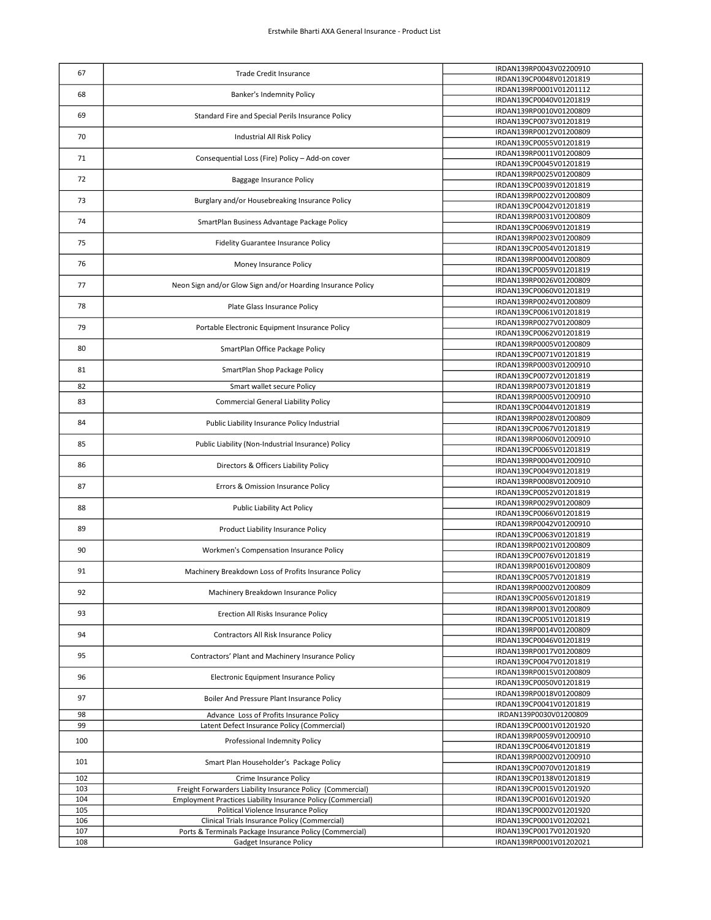| 67         | <b>Trade Credit Insurance</b>                                                                                                     | IRDAN139RP0043V02200910                            |
|------------|-----------------------------------------------------------------------------------------------------------------------------------|----------------------------------------------------|
|            |                                                                                                                                   | IRDAN139CP0048V01201819                            |
| 68         | Banker's Indemnity Policy                                                                                                         | IRDAN139RP0001V01201112<br>IRDAN139CP0040V01201819 |
|            |                                                                                                                                   | IRDAN139RP0010V01200809                            |
| 69         | Standard Fire and Special Perils Insurance Policy                                                                                 | IRDAN139CP0073V01201819                            |
| 70         | Industrial All Risk Policy                                                                                                        | IRDAN139RP0012V01200809                            |
|            |                                                                                                                                   | IRDAN139CP0055V01201819                            |
| 71         | Consequential Loss (Fire) Policy - Add-on cover                                                                                   | IRDAN139RP0011V01200809                            |
|            |                                                                                                                                   | IRDAN139CP0045V01201819<br>IRDAN139RP0025V01200809 |
| 72         | Baggage Insurance Policy                                                                                                          | IRDAN139CP0039V01201819                            |
|            |                                                                                                                                   | IRDAN139RP0022V01200809                            |
| 73         | Burglary and/or Housebreaking Insurance Policy                                                                                    | IRDAN139CP0042V01201819                            |
| 74         | SmartPlan Business Advantage Package Policy                                                                                       | IRDAN139RP0031V01200809                            |
|            |                                                                                                                                   | IRDAN139CP0069V01201819                            |
| 75         | Fidelity Guarantee Insurance Policy                                                                                               | IRDAN139RP0023V01200809<br>IRDAN139CP0054V01201819 |
|            |                                                                                                                                   | IRDAN139RP0004V01200809                            |
| 76         | Money Insurance Policy                                                                                                            | IRDAN139CP0059V01201819                            |
| 77         | Neon Sign and/or Glow Sign and/or Hoarding Insurance Policy                                                                       | IRDAN139RP0026V01200809                            |
|            |                                                                                                                                   | IRDAN139CP0060V01201819                            |
| 78         | Plate Glass Insurance Policy                                                                                                      | IRDAN139RP0024V01200809<br>IRDAN139CP0061V01201819 |
|            |                                                                                                                                   | IRDAN139RP0027V01200809                            |
| 79         | Portable Electronic Equipment Insurance Policy                                                                                    | IRDAN139CP0062V01201819                            |
| 80         | SmartPlan Office Package Policy                                                                                                   | IRDAN139RP0005V01200809                            |
|            |                                                                                                                                   | IRDAN139CP0071V01201819                            |
| 81         | SmartPlan Shop Package Policy                                                                                                     | IRDAN139RP0003V01200910<br>IRDAN139CP0072V01201819 |
| 82         | Smart wallet secure Policy                                                                                                        | IRDAN139RP0073V01201819                            |
| 83         | <b>Commercial General Liability Policy</b>                                                                                        | IRDAN139RP0005V01200910                            |
|            |                                                                                                                                   | IRDAN139CP0044V01201819                            |
| 84         | Public Liability Insurance Policy Industrial                                                                                      | IRDAN139RP0028V01200809                            |
|            |                                                                                                                                   | IRDAN139CP0067V01201819<br>IRDAN139RP0060V01200910 |
| 85         | Public Liability (Non-Industrial Insurance) Policy                                                                                | IRDAN139CP0065V01201819                            |
| 86         | Directors & Officers Liability Policy                                                                                             | IRDAN139RP0004V01200910                            |
|            |                                                                                                                                   | IRDAN139CP0049V01201819                            |
| 87         | Errors & Omission Insurance Policy                                                                                                | IRDAN139RP0008V01200910                            |
|            |                                                                                                                                   | IRDAN139CP0052V01201819<br>IRDAN139RP0029V01200809 |
| 88         | Public Liability Act Policy                                                                                                       | IRDAN139CP0066V01201819                            |
| 89         | Product Liability Insurance Policy                                                                                                | IRDAN139RP0042V01200910                            |
|            |                                                                                                                                   | IRDAN139CP0063V01201819                            |
| 90         | Workmen's Compensation Insurance Policy                                                                                           | IRDAN139RP0021V01200809                            |
|            |                                                                                                                                   | IRDAN139CP0076V01201819<br>IRDAN139RP0016V01200809 |
| 91         | Machinery Breakdown Loss of Profits Insurance Policy                                                                              | IRDAN139CP0057V01201819                            |
| 92         | Machinery Breakdown Insurance Policy                                                                                              | IRDAN139RP0002V01200809                            |
|            |                                                                                                                                   | IRDAN139CP0056V01201819                            |
| 93         | Erection All Risks Insurance Policy                                                                                               | IRDAN139RP0013V01200809                            |
|            |                                                                                                                                   | IRDAN139CP0051V01201819<br>IRDAN139RP0014V01200809 |
| 94         | Contractors All Risk Insurance Policy                                                                                             | IRDAN139CP0046V01201819                            |
| 95         | Contractors' Plant and Machinery Insurance Policy                                                                                 | IRDAN139RP0017V01200809                            |
|            |                                                                                                                                   | IRDAN139CP0047V01201819                            |
| 96         | Electronic Equipment Insurance Policy                                                                                             | IRDAN139RP0015V01200809<br>IRDAN139CP0050V01201819 |
|            |                                                                                                                                   | IRDAN139RP0018V01200809                            |
| 97         | Boiler And Pressure Plant Insurance Policy                                                                                        | IRDAN139CP0041V01201819                            |
| 98         | Advance Loss of Profits Insurance Policy                                                                                          | IRDAN139P0030V01200809                             |
| 99         | Latent Defect Insurance Policy (Commercial)                                                                                       | IRDAN139CP0001V01201920                            |
| 100        | Professional Indemnity Policy                                                                                                     | IRDAN139RP0059V01200910<br>IRDAN139CP0064V01201819 |
|            |                                                                                                                                   | IRDAN139RP0002V01200910                            |
| 101        | Smart Plan Householder's Package Policy                                                                                           | IRDAN139CP0070V01201819                            |
| 102        | Crime Insurance Policy                                                                                                            | IRDAN139CP0138V01201819                            |
| 103        | Freight Forwarders Liability Insurance Policy (Commercial)<br><b>Employment Practices Liability Insurance Policy (Commercial)</b> | IRDAN139CP0015V01201920                            |
| 104<br>105 | Political Violence Insurance Policy                                                                                               | IRDAN139CP0016V01201920<br>IRDAN139CP0002V01201920 |
| 106        | Clinical Trials Insurance Policy (Commercial)                                                                                     | IRDAN139CP0001V01202021                            |
| 107        | Ports & Terminals Package Insurance Policy (Commercial)                                                                           | IRDAN139CP0017V01201920                            |
| 108        | Gadget Insurance Policy                                                                                                           | IRDAN139RP0001V01202021                            |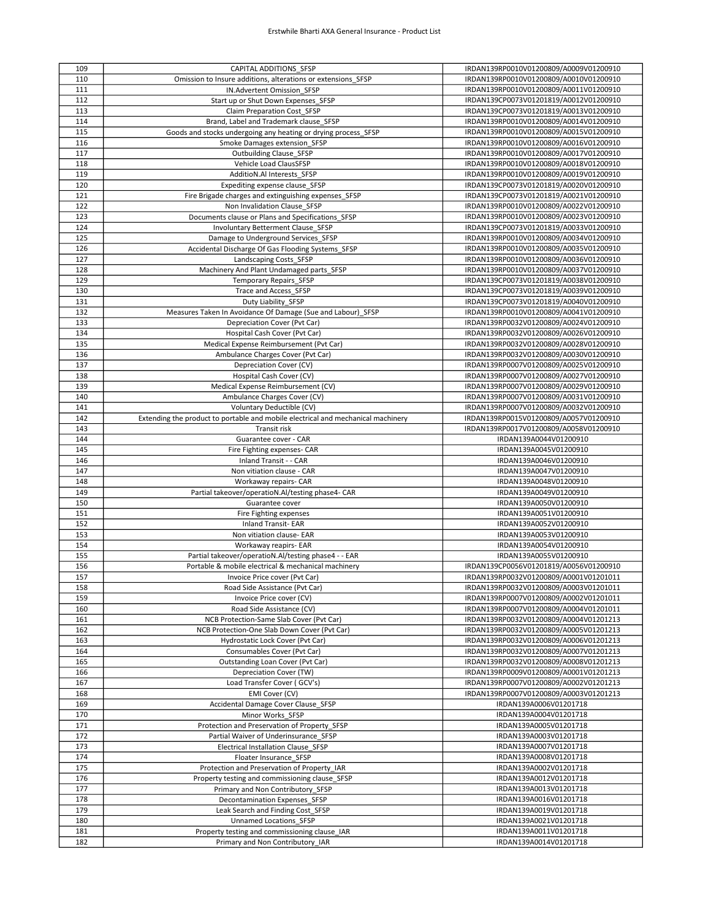| 109        | CAPITAL ADDITIONS SFSP                                                            | IRDAN139RP0010V01200809/A0009V01200910           |
|------------|-----------------------------------------------------------------------------------|--------------------------------------------------|
| 110        | Omission to Insure additions, alterations or extensions SFSP                      | IRDAN139RP0010V01200809/A0010V01200910           |
| 111        | IN.Advertent Omission SFSP                                                        | IRDAN139RP0010V01200809/A0011V01200910           |
| 112        | Start up or Shut Down Expenses SFSP                                               | IRDAN139CP0073V01201819/A0012V01200910           |
|            |                                                                                   |                                                  |
| 113        | Claim Preparation Cost SFSP                                                       | IRDAN139CP0073V01201819/A0013V01200910           |
| 114        | Brand, Label and Trademark clause SFSP                                            | IRDAN139RP0010V01200809/A0014V01200910           |
| 115        | Goods and stocks undergoing any heating or drying process_SFSP                    | IRDAN139RP0010V01200809/A0015V01200910           |
| 116        | Smoke Damages extension SFSP                                                      | IRDAN139RP0010V01200809/A0016V01200910           |
| 117        | Outbuilding Clause SFSP                                                           | IRDAN139RP0010V01200809/A0017V01200910           |
| 118        | Vehicle Load ClausSFSP                                                            | IRDAN139RP0010V01200809/A0018V01200910           |
| 119        | AdditioN.Al Interests SFSP                                                        | IRDAN139RP0010V01200809/A0019V01200910           |
| 120        | Expediting expense clause_SFSP                                                    | IRDAN139CP0073V01201819/A0020V01200910           |
| 121        | Fire Brigade charges and extinguishing expenses SFSP                              | IRDAN139CP0073V01201819/A0021V01200910           |
| 122        | Non Invalidation Clause SFSP                                                      | IRDAN139RP0010V01200809/A0022V01200910           |
| 123        | Documents clause or Plans and Specifications SFSP                                 | IRDAN139RP0010V01200809/A0023V01200910           |
| 124        | Involuntary Betterment Clause SFSP                                                | IRDAN139CP0073V01201819/A0033V01200910           |
| 125        | Damage to Underground Services SFSP                                               | IRDAN139RP0010V01200809/A0034V01200910           |
| 126        |                                                                                   | IRDAN139RP0010V01200809/A0035V01200910           |
| 127        | Accidental Discharge Of Gas Flooding Systems_SFSP<br>Landscaping Costs SFSP       | IRDAN139RP0010V01200809/A0036V01200910           |
|            |                                                                                   |                                                  |
| 128        | Machinery And Plant Undamaged parts_SFSP                                          | IRDAN139RP0010V01200809/A0037V01200910           |
| 129        | <b>Temporary Repairs SFSP</b>                                                     | IRDAN139CP0073V01201819/A0038V01200910           |
| 130        | Trace and Access SFSP                                                             | IRDAN139CP0073V01201819/A0039V01200910           |
| 131        | Duty Liability SFSP                                                               | IRDAN139CP0073V01201819/A0040V01200910           |
| 132        | Measures Taken In Avoidance Of Damage (Sue and Labour) SFSP                       | IRDAN139RP0010V01200809/A0041V01200910           |
| 133        | Depreciation Cover (Pvt Car)                                                      | IRDAN139RP0032V01200809/A0024V01200910           |
| 134        | Hospital Cash Cover (Pvt Car)                                                     | IRDAN139RP0032V01200809/A0026V01200910           |
| 135        | Medical Expense Reimbursement (Pvt Car)                                           | IRDAN139RP0032V01200809/A0028V01200910           |
| 136        | Ambulance Charges Cover (Pvt Car)                                                 | IRDAN139RP0032V01200809/A0030V01200910           |
| 137        | Depreciation Cover (CV)                                                           | IRDAN139RP0007V01200809/A0025V01200910           |
| 138        | Hospital Cash Cover (CV)                                                          | IRDAN139RP0007V01200809/A0027V01200910           |
| 139        | Medical Expense Reimbursement (CV)                                                | IRDAN139RP0007V01200809/A0029V01200910           |
| 140        | Ambulance Charges Cover (CV)                                                      | IRDAN139RP0007V01200809/A0031V01200910           |
| 141        | Voluntary Deductible (CV)                                                         | IRDAN139RP0007V01200809/A0032V01200910           |
| 142        | Extending the product to portable and mobile electrical and mechanical machinery  | IRDAN139RP0015V01200809/A0057V01200910           |
| 143        | Transit risk                                                                      | IRDAN139RP0017V01200809/A0058V01200910           |
| 144        | Guarantee cover - CAR                                                             | IRDAN139A0044V01200910                           |
| 145        | Fire Fighting expenses- CAR                                                       | IRDAN139A0045V01200910                           |
| 146        | Inland Transit - - CAR                                                            | IRDAN139A0046V01200910                           |
| 147        | Non vitiation clause - CAR                                                        | IRDAN139A0047V01200910                           |
| 148        | Workaway repairs- CAR                                                             | IRDAN139A0048V01200910                           |
| 149        | Partial takeover/operatioN.Al/testing phase4- CAR                                 | IRDAN139A0049V01200910                           |
| 150        | Guarantee cover                                                                   | IRDAN139A0050V01200910                           |
| 151        | Fire Fighting expenses                                                            | IRDAN139A0051V01200910                           |
| 152        | <b>Inland Transit- EAR</b>                                                        | IRDAN139A0052V01200910                           |
| 153        | Non vitiation clause- EAR                                                         | IRDAN139A0053V01200910                           |
| 154        | Workaway reapirs- EAR                                                             | IRDAN139A0054V01200910                           |
|            | Partial takeover/operatioN.Al/testing phase4 - - EAR                              |                                                  |
| 155        |                                                                                   |                                                  |
| 156        |                                                                                   | IRDAN139A0055V01200910                           |
|            | Portable & mobile electrical & mechanical machinery                               | IRDAN139CP0056V01201819/A0056V01200910           |
| 157        | Invoice Price cover (Pvt Car)                                                     | IRDAN139RP0032V01200809/A0001V01201011           |
| 158        | Road Side Assistance (Pvt Car)                                                    | IRDAN139RP0032V01200809/A0003V01201011           |
| 159        | Invoice Price cover (CV)                                                          | IRDAN139RP0007V01200809/A0002V01201011           |
| 160        | Road Side Assistance (CV)                                                         | IRDAN139RP0007V01200809/A0004V01201011           |
| 161        | NCB Protection-Same Slab Cover (Pvt Car)                                          | IRDAN139RP0032V01200809/A0004V01201213           |
| 162        | NCB Protection-One Slab Down Cover (Pvt Car)                                      | IRDAN139RP0032V01200809/A0005V01201213           |
| 163        | Hydrostatic Lock Cover (Pvt Car)                                                  | IRDAN139RP0032V01200809/A0006V01201213           |
| 164        | Consumables Cover (Pvt Car)                                                       | IRDAN139RP0032V01200809/A0007V01201213           |
| 165        | Outstanding Loan Cover (Pvt Car)                                                  | IRDAN139RP0032V01200809/A0008V01201213           |
| 166        | Depreciation Cover (TW)                                                           | IRDAN139RP0009V01200809/A0001V01201213           |
| 167        | Load Transfer Cover (GCV's)                                                       | IRDAN139RP0007V01200809/A0002V01201213           |
| 168        | EMI Cover (CV)                                                                    | IRDAN139RP0007V01200809/A0003V01201213           |
| 169        | Accidental Damage Cover Clause SFSP                                               | IRDAN139A0006V01201718                           |
| 170        | Minor Works SFSP                                                                  | IRDAN139A0004V01201718                           |
| 171        | Protection and Preservation of Property SFSP                                      | IRDAN139A0005V01201718                           |
| 172        | Partial Waiver of Underinsurance SFSP                                             | IRDAN139A0003V01201718                           |
| 173        | Electrical Installation Clause SFSP                                               | IRDAN139A0007V01201718                           |
| 174        |                                                                                   | IRDAN139A0008V01201718                           |
|            | Floater Insurance SFSP<br>Protection and Preservation of Property IAR             | IRDAN139A0002V01201718                           |
| 175<br>176 |                                                                                   |                                                  |
|            | Property testing and commissioning clause SFSP                                    | IRDAN139A0012V01201718                           |
| 177        | Primary and Non Contributory SFSP                                                 | IRDAN139A0013V01201718                           |
| 178        | Decontamination Expenses SFSP                                                     | IRDAN139A0016V01201718                           |
| 179        | Leak Search and Finding Cost SFSP                                                 | IRDAN139A0019V01201718                           |
| 180        | Unnamed Locations SFSP                                                            | IRDAN139A0021V01201718                           |
| 181<br>182 | Property testing and commissioning clause IAR<br>Primary and Non Contributory IAR | IRDAN139A0011V01201718<br>IRDAN139A0014V01201718 |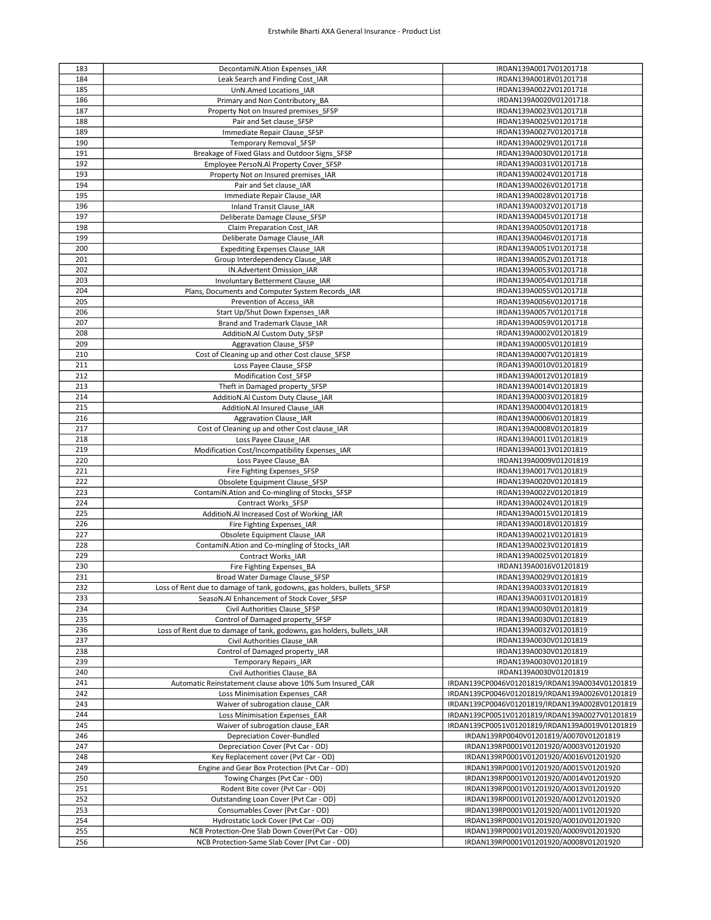| 183 | DecontamiN.Ation Expenses_IAR                                          | IRDAN139A0017V01201718                         |
|-----|------------------------------------------------------------------------|------------------------------------------------|
| 184 | Leak Search and Finding Cost IAR                                       | IRDAN139A0018V01201718                         |
| 185 | UnN.Amed Locations IAR                                                 | IRDAN139A0022V01201718                         |
| 186 | Primary and Non Contributory BA                                        | IRDAN139A0020V01201718                         |
| 187 | Property Not on Insured premises SFSP                                  | IRDAN139A0023V01201718                         |
| 188 | Pair and Set clause SFSP                                               | IRDAN139A0025V01201718                         |
| 189 |                                                                        | IRDAN139A0027V01201718                         |
|     | Immediate Repair Clause SFSP                                           |                                                |
| 190 | <b>Temporary Removal SFSP</b>                                          | IRDAN139A0029V01201718                         |
| 191 | Breakage of Fixed Glass and Outdoor Signs SFSP                         | IRDAN139A0030V01201718                         |
| 192 | Employee PersoN.Al Property Cover SFSP                                 | IRDAN139A0031V01201718                         |
| 193 | Property Not on Insured premises_IAR                                   | IRDAN139A0024V01201718                         |
| 194 | Pair and Set clause IAR                                                | IRDAN139A0026V01201718                         |
| 195 | Immediate Repair Clause IAR                                            | IRDAN139A0028V01201718                         |
| 196 | Inland Transit Clause IAR                                              | IRDAN139A0032V01201718                         |
| 197 | Deliberate Damage Clause SFSP                                          | IRDAN139A0045V01201718                         |
| 198 | Claim Preparation Cost IAR                                             | IRDAN139A0050V01201718                         |
| 199 | Deliberate Damage Clause IAR                                           | IRDAN139A0046V01201718                         |
| 200 | <b>Expediting Expenses Clause IAR</b>                                  | IRDAN139A0051V01201718                         |
| 201 | Group Interdependency Clause IAR                                       | IRDAN139A0052V01201718                         |
|     |                                                                        |                                                |
| 202 | IN.Advertent Omission IAR                                              | IRDAN139A0053V01201718                         |
| 203 | Involuntary Betterment Clause IAR                                      | IRDAN139A0054V01201718                         |
| 204 | Plans, Documents and Computer System Records IAR                       | IRDAN139A0055V01201718                         |
| 205 | Prevention of Access IAR                                               | IRDAN139A0056V01201718                         |
| 206 | Start Up/Shut Down Expenses IAR                                        | IRDAN139A0057V01201718                         |
| 207 | Brand and Trademark Clause IAR                                         | IRDAN139A0059V01201718                         |
| 208 | AdditioN.Al Custom Duty SFSP                                           | IRDAN139A0002V01201819                         |
| 209 | <b>Aggravation Clause SFSP</b>                                         | IRDAN139A0005V01201819                         |
| 210 | Cost of Cleaning up and other Cost clause SFSP                         | IRDAN139A0007V01201819                         |
| 211 | Loss Payee Clause SFSP                                                 | IRDAN139A0010V01201819                         |
| 212 | Modification Cost SFSP                                                 | IRDAN139A0012V01201819                         |
|     |                                                                        |                                                |
| 213 | Theft in Damaged property SFSP                                         | IRDAN139A0014V01201819                         |
| 214 | AdditioN.Al Custom Duty Clause IAR                                     | IRDAN139A0003V01201819                         |
| 215 | AdditioN.Al Insured Clause IAR                                         | IRDAN139A0004V01201819                         |
| 216 | Aggravation Clause IAR                                                 | IRDAN139A0006V01201819                         |
| 217 | Cost of Cleaning up and other Cost clause IAR                          | IRDAN139A0008V01201819                         |
| 218 | Loss Payee Clause IAR                                                  | IRDAN139A0011V01201819                         |
| 219 | Modification Cost/Incompatibility Expenses IAR                         | IRDAN139A0013V01201819                         |
| 220 | Loss Payee Clause BA                                                   | IRDAN139A0009V01201819                         |
| 221 | Fire Fighting Expenses_SFSP                                            | IRDAN139A0017V01201819                         |
| 222 | Obsolete Equipment Clause SFSP                                         | IRDAN139A0020V01201819                         |
| 223 | ContamiN.Ation and Co-mingling of Stocks_SFSP                          | IRDAN139A0022V01201819                         |
| 224 | Contract Works SFSP                                                    | IRDAN139A0024V01201819                         |
| 225 |                                                                        | IRDAN139A0015V01201819                         |
|     | AdditioN.Al Increased Cost of Working IAR                              |                                                |
| 226 | Fire Fighting Expenses IAR                                             | IRDAN139A0018V01201819                         |
| 227 | Obsolete Equipment Clause IAR                                          | IRDAN139A0021V01201819                         |
| 228 | ContamiN.Ation and Co-mingling of Stocks IAR                           | IRDAN139A0023V01201819                         |
| 229 | Contract Works IAR                                                     | IRDAN139A0025V01201819                         |
| 230 | Fire Fighting Expenses BA                                              | IRDAN139A0016V01201819                         |
| 231 | Broad Water Damage Clause_SFSP                                         | IRDAN139A0029V01201819                         |
| 232 | Loss of Rent due to damage of tank, godowns, gas holders, bullets_SFSP | IRDAN139A0033V01201819                         |
| 233 | SeasoN.Al Enhancement of Stock Cover_SFSP                              | IRDAN139A0031V01201819                         |
| 234 | Civil Authorities Clause SFSP                                          | IRDAN139A0030V01201819                         |
| 235 | Control of Damaged property SFSP                                       | IRDAN139A0030V01201819                         |
| 236 | Loss of Rent due to damage of tank, godowns, gas holders, bullets IAR  | IRDAN139A0032V01201819                         |
| 237 | Civil Authorities Clause IAR                                           | IRDAN139A0030V01201819                         |
| 238 | Control of Damaged property_IAR                                        | IRDAN139A0030V01201819                         |
| 239 |                                                                        | IRDAN139A0030V01201819                         |
|     | <b>Temporary Repairs_IAR</b>                                           |                                                |
| 240 | Civil Authorities Clause BA                                            | IRDAN139A0030V01201819                         |
| 241 | Automatic Reinstatement clause above 10% Sum Insured CAR               | IRDAN139CP0046V01201819/IRDAN139A0034V01201819 |
| 242 | Loss Minimisation Expenses CAR                                         | IRDAN139CP0046V01201819/IRDAN139A0026V01201819 |
| 243 | Waiver of subrogation clause CAR                                       | IRDAN139CP0046V01201819/IRDAN139A0028V01201819 |
| 244 | Loss Minimisation Expenses EAR                                         | IRDAN139CP0051V01201819/IRDAN139A0027V01201819 |
| 245 | Waiver of subrogation clause EAR                                       | IRDAN139CP0051V01201819/IRDAN139A0019V01201819 |
| 246 | <b>Depreciation Cover-Bundled</b>                                      | IRDAN139RP0040V01201819/A0070V01201819         |
| 247 | Depreciation Cover (Pvt Car - OD)                                      | IRDAN139RP0001V01201920/A0003V01201920         |
| 248 | Key Replacement cover (Pvt Car - OD)                                   | IRDAN139RP0001V01201920/A0016V01201920         |
| 249 | Engine and Gear Box Protection (Pvt Car - OD)                          | IRDAN139RP0001V01201920/A0015V01201920         |
| 250 | Towing Charges (Pvt Car - OD)                                          | IRDAN139RP0001V01201920/A0014V01201920         |
| 251 | Rodent Bite cover (Pvt Car - OD)                                       | IRDAN139RP0001V01201920/A0013V01201920         |
|     |                                                                        |                                                |
| 252 | Outstanding Loan Cover (Pvt Car - OD)                                  | IRDAN139RP0001V01201920/A0012V01201920         |
| 253 | Consumables Cover (Pvt Car - OD)                                       | IRDAN139RP0001V01201920/A0011V01201920         |
| 254 | Hydrostatic Lock Cover (Pvt Car - OD)                                  | IRDAN139RP0001V01201920/A0010V01201920         |
| 255 | NCB Protection-One Slab Down Cover(Pvt Car - OD)                       | IRDAN139RP0001V01201920/A0009V01201920         |
| 256 | NCB Protection-Same Slab Cover (Pvt Car - OD)                          | IRDAN139RP0001V01201920/A0008V01201920         |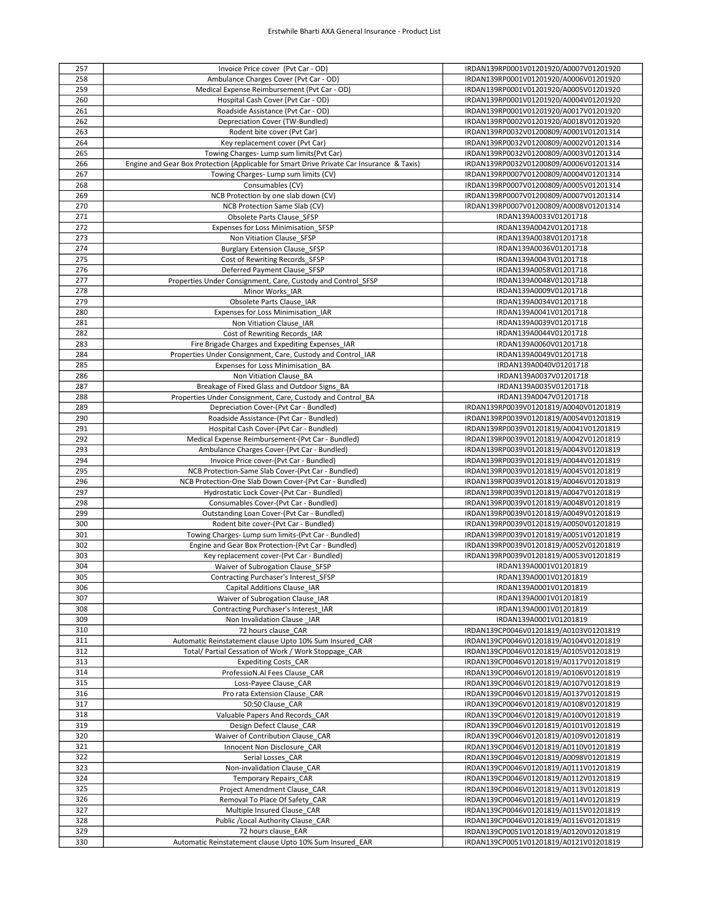| 257 | Invoice Price cover (Pvt Car - OD)                                                        | IRDAN139RP0001V01201920/A0007V01201920 |
|-----|-------------------------------------------------------------------------------------------|----------------------------------------|
|     | Ambulance Charges Cover (Pvt Car - OD)                                                    | IRDAN139RP0001V01201920/A0006V01201920 |
| 258 |                                                                                           |                                        |
| 259 | Medical Expense Reimbursement (Pvt Car - OD)                                              | IRDAN139RP0001V01201920/A0005V01201920 |
| 260 | Hospital Cash Cover (Pvt Car - OD)                                                        | IRDAN139RP0001V01201920/A0004V01201920 |
| 261 | Roadside Assistance (Pvt Car - OD)                                                        | IRDAN139RP0001V01201920/A0017V01201920 |
| 262 | Depreciation Cover (TW-Bundled)                                                           | IRDAN139RP0002V01201920/A0018V01201920 |
| 263 | Rodent bite cover (Pvt Car)                                                               | IRDAN139RP0032V01200809/A0001V01201314 |
| 264 | Key replacement cover (Pvt Car)                                                           | IRDAN139RP0032V01200809/A0002V01201314 |
|     |                                                                                           |                                        |
| 265 | Towing Charges- Lump sum limits (Pvt Car)                                                 | IRDAN139RP0032V01200809/A0003V01201314 |
| 266 | Engine and Gear Box Protection (Applicable for Smart Drive Private Car Insurance & Taxis) | IRDAN139RP0032V01200809/A0006V01201314 |
| 267 | Towing Charges- Lump sum limits (CV)                                                      | IRDAN139RP0007V01200809/A0004V01201314 |
| 268 | Consumables (CV)                                                                          | IRDAN139RP0007V01200809/A0005V01201314 |
| 269 | NCB Protection by one slab down (CV)                                                      | IRDAN139RP0007V01200809/A0007V01201314 |
| 270 | NCB Protection Same Slab (CV)                                                             | IRDAN139RP0007V01200809/A0008V01201314 |
| 271 | Obsolete Parts Clause SFSP                                                                | IRDAN139A0033V01201718                 |
|     |                                                                                           |                                        |
| 272 | Expenses for Loss Minimisation SFSP                                                       | IRDAN139A0042V01201718                 |
| 273 | Non Vitiation Clause SFSP                                                                 | IRDAN139A0038V01201718                 |
| 274 | <b>Burglary Extension Clause SFSP</b>                                                     | IRDAN139A0036V01201718                 |
| 275 | Cost of Rewriting Records SFSP                                                            | IRDAN139A0043V01201718                 |
| 276 | Deferred Payment Clause SFSP                                                              | IRDAN139A0058V01201718                 |
| 277 | Properties Under Consignment, Care, Custody and Control_SFSP                              | IRDAN139A0048V01201718                 |
| 278 | Minor Works IAR                                                                           | IRDAN139A0009V01201718                 |
| 279 | Obsolete Parts Clause IAR                                                                 | IRDAN139A0034V01201718                 |
|     |                                                                                           |                                        |
| 280 | Expenses for Loss Minimisation IAR                                                        | IRDAN139A0041V01201718                 |
| 281 | Non Vitiation Clause IAR                                                                  | IRDAN139A0039V01201718                 |
| 282 | Cost of Rewriting Records IAR                                                             | IRDAN139A0044V01201718                 |
| 283 | Fire Brigade Charges and Expediting Expenses_IAR                                          | IRDAN139A0060V01201718                 |
| 284 | Properties Under Consignment, Care, Custody and Control IAR                               | IRDAN139A0049V01201718                 |
| 285 | Expenses for Loss Minimisation BA                                                         | IRDAN139A0040V01201718                 |
| 286 | Non Vitiation Clause BA                                                                   | IRDAN139A0037V01201718                 |
| 287 | Breakage of Fixed Glass and Outdoor Signs BA                                              |                                        |
|     |                                                                                           | IRDAN139A0035V01201718                 |
| 288 | Properties Under Consignment, Care, Custody and Control BA                                | IRDAN139A0047V01201718                 |
| 289 | Depreciation Cover-(Pvt Car - Bundled)                                                    | IRDAN139RP0039V01201819/A0040V01201819 |
| 290 | Roadside Assistance-(Pvt Car - Bundled)                                                   | IRDAN139RP0039V01201819/A0054V01201819 |
| 291 | Hospital Cash Cover-(Pvt Car - Bundled)                                                   | IRDAN139RP0039V01201819/A0041V01201819 |
| 292 | Medical Expense Reimbursement-(Pvt Car - Bundled)                                         | IRDAN139RP0039V01201819/A0042V01201819 |
| 293 | Ambulance Charges Cover-(Pvt Car - Bundled)                                               | IRDAN139RP0039V01201819/A0043V01201819 |
| 294 | Invoice Price cover-(Pvt Car - Bundled)                                                   | IRDAN139RP0039V01201819/A0044V01201819 |
| 295 | NCB Protection-Same Slab Cover-(Pvt Car - Bundled)                                        | IRDAN139RP0039V01201819/A0045V01201819 |
|     |                                                                                           |                                        |
| 296 | NCB Protection-One Slab Down Cover-(Pvt Car - Bundled)                                    | IRDAN139RP0039V01201819/A0046V01201819 |
| 297 | Hydrostatic Lock Cover-(Pvt Car - Bundled)                                                | IRDAN139RP0039V01201819/A0047V01201819 |
| 298 | Consumables Cover-(Pvt Car - Bundled)                                                     | IRDAN139RP0039V01201819/A0048V01201819 |
| 299 | Outstanding Loan Cover-(Pvt Car - Bundled)                                                | IRDAN139RP0039V01201819/A0049V01201819 |
| 300 | Rodent bite cover-(Pvt Car - Bundled)                                                     | IRDAN139RP0039V01201819/A0050V01201819 |
| 301 | Towing Charges- Lump sum limits-(Pvt Car - Bundled)                                       | IRDAN139RP0039V01201819/A0051V01201819 |
| 302 | Engine and Gear Box Protection-(Pvt Car - Bundled)                                        | IRDAN139RP0039V01201819/A0052V01201819 |
| 303 | Key replacement cover-(Pvt Car - Bundled)                                                 | IRDAN139RP0039V01201819/A0053V01201819 |
|     |                                                                                           |                                        |
| 304 | Waiver of Subrogation Clause SFSP                                                         | IRDAN139A0001V01201819                 |
| 305 | Contracting Purchaser's Interest SFSP                                                     | IRDAN139A0001V01201819                 |
| 306 | Capital Additions Clause IAR                                                              | IRDAN139A0001V01201819                 |
| 307 | Waiver of Subrogation Clause IAR                                                          | IRDAN139A0001V01201819                 |
| 308 | Contracting Purchaser's Interest IAR                                                      | IRDAN139A0001V01201819                 |
| 309 | Non Invalidation Clause IAR                                                               | IRDAN139A0001V01201819                 |
| 310 | 72 hours clause CAR                                                                       | IRDAN139CP0046V01201819/A0103V01201819 |
| 311 | Automatic Reinstatement clause Upto 10% Sum Insured CAR                                   | IRDAN139CP0046V01201819/A0104V01201819 |
| 312 | Total/ Partial Cessation of Work / Work Stoppage CAR                                      |                                        |
|     |                                                                                           | IRDAN139CP0046V01201819/A0105V01201819 |
| 313 | <b>Expediting Costs_CAR</b>                                                               | IRDAN139CP0046V01201819/A0117V01201819 |
| 314 | ProfessioN.Al Fees Clause_CAR                                                             | IRDAN139CP0046V01201819/A0106V01201819 |
| 315 | Loss-Payee Clause CAR                                                                     | IRDAN139CP0046V01201819/A0107V01201819 |
| 316 | Pro rata Extension Clause CAR                                                             | IRDAN139CP0046V01201819/A0137V01201819 |
| 317 | 50:50 Clause CAR                                                                          | IRDAN139CP0046V01201819/A0108V01201819 |
| 318 | Valuable Papers And Records CAR                                                           | IRDAN139CP0046V01201819/A0100V01201819 |
| 319 | Design Defect Clause CAR                                                                  | IRDAN139CP0046V01201819/A0101V01201819 |
| 320 | Waiver of Contribution Clause CAR                                                         | IRDAN139CP0046V01201819/A0109V01201819 |
|     |                                                                                           |                                        |
| 321 | Innocent Non Disclosure CAR                                                               | IRDAN139CP0046V01201819/A0110V01201819 |
| 322 | Serial Losses CAR                                                                         | IRDAN139CP0046V01201819/A0098V01201819 |
| 323 | Non-invalidation Clause CAR                                                               | IRDAN139CP0046V01201819/A0111V01201819 |
| 324 | <b>Temporary Repairs CAR</b>                                                              | IRDAN139CP0046V01201819/A0112V01201819 |
| 325 | Project Amendment Clause CAR                                                              | IRDAN139CP0046V01201819/A0113V01201819 |
| 326 | Removal To Place Of Safety CAR                                                            | IRDAN139CP0046V01201819/A0114V01201819 |
| 327 | Multiple Insured Clause CAR                                                               | IRDAN139CP0046V01201819/A0115V01201819 |
| 328 | Public / Local Authority Clause CAR                                                       | IRDAN139CP0046V01201819/A0116V01201819 |
| 329 | 72 hours clause EAR                                                                       | IRDAN139CP0051V01201819/A0120V01201819 |
|     |                                                                                           |                                        |
| 330 | Automatic Reinstatement clause Upto 10% Sum Insured EAR                                   | IRDAN139CP0051V01201819/A0121V01201819 |